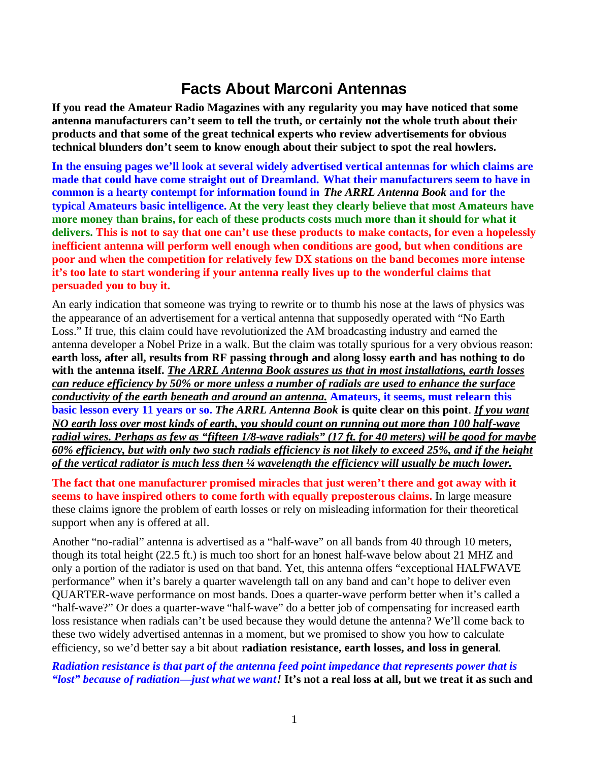## **Facts About Marconi Antennas**

**If you read the Amateur Radio Magazines with any regularity you may have noticed that some antenna manufacturers can't seem to tell the truth, or certainly not the whole truth about their products and that some of the great technical experts who review advertisements for obvious technical blunders don't seem to know enough about their subject to spot the real howlers.**

**In the ensuing pages we'll look at several widely advertised vertical antennas for which claims are made that could have come straight out of Dreamland. What their manufacturers seem to have in common is a hearty contempt for information found in** *The ARRL Antenna Book* **and for the typical Amateurs basic intelligence. At the very least they clearly believe that most Amateurs have more money than brains, for each of these products costs much more than it should for what it delivers. This is not to say that one can't use these products to make contacts, for even a hopelessly inefficient antenna will perform well enough when conditions are good, but when conditions are poor and when the competition for relatively few DX stations on the band becomes more intense it's too late to start wondering if your antenna really lives up to the wonderful claims that persuaded you to buy it.**

An early indication that someone was trying to rewrite or to thumb his nose at the laws of physics was the appearance of an advertisement for a vertical antenna that supposedly operated with "No Earth Loss." If true, this claim could have revolutionized the AM broadcasting industry and earned the antenna developer a Nobel Prize in a walk. But the claim was totally spurious for a very obvious reason: **earth loss, after all, results from RF passing through and along lossy earth and has nothing to do with the antenna itself.** *The ARRL Antenna Book assures us that in most installations, earth losses can reduce efficiency by 50% or more unless a number of radials are used to enhance the surface conductivity of the earth beneath and around an antenna.* **Amateurs, it seems, must relearn this basic lesson every 11 years or so.** *The ARRL Antenna Book* **is quite clear on this point**. *If you want NO earth loss over most kinds of earth, you should count on running out more than 100 half-wave radial wires. Perhaps as few as "fifteen 1/8-wave radials" (17 ft. for 40 meters) will be good for maybe 60% efficiency, but with only two such radials efficiency is not likely to exceed 25%, and if the height of the vertical radiator is much less then ¼ wavelength the efficiency will usually be much lower.*

**The fact that one manufacturer promised miracles that just weren't there and got away with it seems to have inspired others to come forth with equally preposterous claims.** In large measure these claims ignore the problem of earth losses or rely on misleading information for their theoretical support when any is offered at all.

Another "no-radial" antenna is advertised as a "half-wave" on all bands from 40 through 10 meters, though its total height (22.5 ft.) is much too short for an honest half-wave below about 21 MHZ and only a portion of the radiator is used on that band. Yet, this antenna offers "exceptional HALFWAVE performance" when it's barely a quarter wavelength tall on any band and can't hope to deliver even QUARTER-wave performance on most bands. Does a quarter-wave perform better when it's called a "half-wave?" Or does a quarter-wave "half-wave" do a better job of compensating for increased earth loss resistance when radials can't be used because they would detune the antenna? We'll come back to these two widely advertised antennas in a moment, but we promised to show you how to calculate efficiency, so we'd better say a bit about **radiation resistance, earth losses, and loss in general**.

*Radiation resistance is that part of the antenna feed point impedance that represents power that is "lost" because of radiation—just what we want!* **It's not a real loss at all, but we treat it as such and**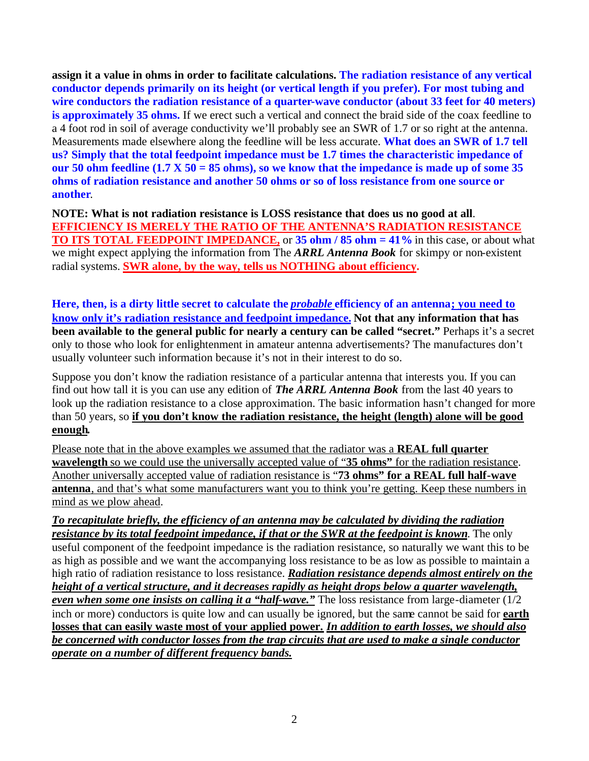**assign it a value in ohms in order to facilitate calculations. The radiation resistance of any vertical conductor depends primarily on its height (or vertical length if you prefer). For most tubing and wire conductors the radiation resistance of a quarter-wave conductor (about 33 feet for 40 meters) is approximately 35 ohms.** If we erect such a vertical and connect the braid side of the coax feedline to a 4 foot rod in soil of average conductivity we'll probably see an SWR of 1.7 or so right at the antenna. Measurements made elsewhere along the feedline will be less accurate. **What does an SWR of 1.7 tell us? Simply that the total feedpoint impedance must be 1.7 times the characteristic impedance of our 50 ohm feedline (1.7 X 50 = 85 ohms), so we know that the impedance is made up of some 35 ohms of radiation resistance and another 50 ohms or so of loss resistance from one source or another**.

**NOTE: What is not radiation resistance is LOSS resistance that does us no good at all**. **EFFICIENCY IS MERELY THE RATIO OF THE ANTENNA'S RADIATION RESISTANCE TO ITS TOTAL FEEDPOINT IMPEDANCE,** or **35 ohm / 85 ohm = 41%** in this case, or about what we might expect applying the information from The *ARRL Antenna Book* for skimpy or non-existent radial systems. **SWR alone, by the way, tells us NOTHING about efficiency.**

**Here, then, is a dirty little secret to calculate the** *probable* **efficiency of an antenna; you need to know only it's radiation resistance and feedpoint impedance. Not that any information that has been available to the general public for nearly a century can be called "secret."** Perhaps it's a secret only to those who look for enlightenment in amateur antenna advertisements? The manufactures don't usually volunteer such information because it's not in their interest to do so.

Suppose you don't know the radiation resistance of a particular antenna that interests you. If you can find out how tall it is you can use any edition of *The ARRL Antenna Book* from the last 40 years to look up the radiation resistance to a close approximation. The basic information hasn't changed for more than 50 years, so **if you don't know the radiation resistance, the height (length) alone will be good enough.**

Please note that in the above examples we assumed that the radiator was a **REAL full quarter wavelength** so we could use the universally accepted value of "**35 ohms"** for the radiation resistance. Another universally accepted value of radiation resistance is "**73 ohms" for a REAL full half-wave antenna**, and that's what some manufacturers want you to think you're getting. Keep these numbers in mind as we plow ahead.

*To recapitulate briefly, the efficiency of an antenna may be calculated by dividing the radiation resistance by its total feedpoint impedance, if that or the SWR at the feedpoint is known*. The only useful component of the feedpoint impedance is the radiation resistance, so naturally we want this to be as high as possible and we want the accompanying loss resistance to be as low as possible to maintain a high ratio of radiation resistance to loss resistance. *Radiation resistance depends almost entirely on the height of a vertical structure, and it decreases rapidly as height drops below a quarter wavelength, even when some one insists on calling it a "half-wave."* The loss resistance from large-diameter (1/2 inch or more) conductors is quite low and can usually be ignored, but the same cannot be said for **earth losses that can easily waste most of your applied power.** *In addition to earth losses, we should also be concerned with conductor losses from the trap circuits that are used to make a single conductor operate on a number of different frequency bands.*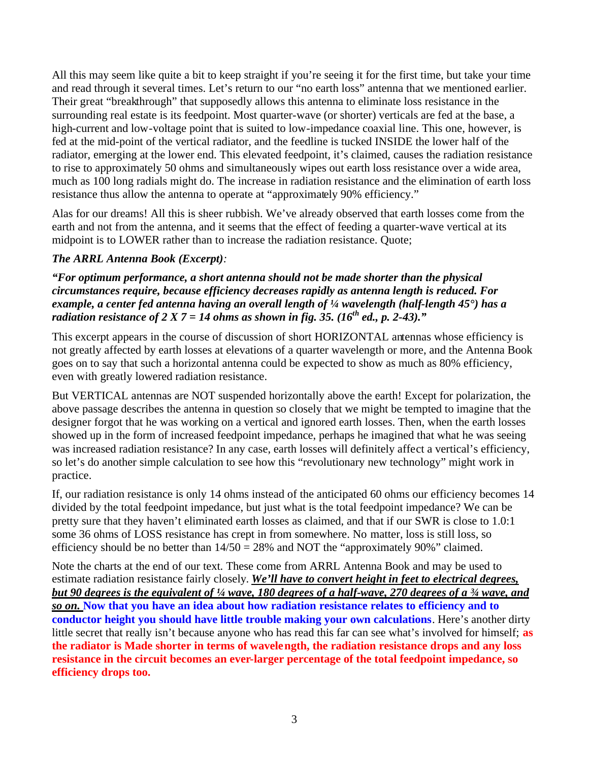All this may seem like quite a bit to keep straight if you're seeing it for the first time, but take your time and read through it several times. Let's return to our "no earth loss" antenna that we mentioned earlier. Their great "breakthrough" that supposedly allows this antenna to eliminate loss resistance in the surrounding real estate is its feedpoint. Most quarter-wave (or shorter) verticals are fed at the base, a high-current and low-voltage point that is suited to low-impedance coaxial line. This one, however, is fed at the mid-point of the vertical radiator, and the feedline is tucked INSIDE the lower half of the radiator, emerging at the lower end. This elevated feedpoint, it's claimed, causes the radiation resistance to rise to approximately 50 ohms and simultaneously wipes out earth loss resistance over a wide area, much as 100 long radials might do. The increase in radiation resistance and the elimination of earth loss resistance thus allow the antenna to operate at "approximately 90% efficiency."

Alas for our dreams! All this is sheer rubbish. We've already observed that earth losses come from the earth and not from the antenna, and it seems that the effect of feeding a quarter-wave vertical at its midpoint is to LOWER rather than to increase the radiation resistance. Quote;

## *The ARRL Antenna Book (Excerpt):*

*"For optimum performance, a short antenna should not be made shorter than the physical circumstances require, because efficiency decreases rapidly as antenna length is reduced. For example, a center fed antenna having an overall length of ¼ wavelength (half-length 45°) has a radiation resistance of 2 X 7 = 14 ohms as shown in fig. 35. (16<sup>th</sup> ed., p. 2-43).*"

This excerpt appears in the course of discussion of short HORIZONTAL antennas whose efficiency is not greatly affected by earth losses at elevations of a quarter wavelength or more, and the Antenna Book goes on to say that such a horizontal antenna could be expected to show as much as 80% efficiency, even with greatly lowered radiation resistance.

But VERTICAL antennas are NOT suspended horizontally above the earth! Except for polarization, the above passage describes the antenna in question so closely that we might be tempted to imagine that the designer forgot that he was working on a vertical and ignored earth losses. Then, when the earth losses showed up in the form of increased feedpoint impedance, perhaps he imagined that what he was seeing was increased radiation resistance? In any case, earth losses will definitely affect a vertical's efficiency, so let's do another simple calculation to see how this "revolutionary new technology" might work in practice.

If, our radiation resistance is only 14 ohms instead of the anticipated 60 ohms our efficiency becomes 14 divided by the total feedpoint impedance, but just what is the total feedpoint impedance? We can be pretty sure that they haven't eliminated earth losses as claimed, and that if our SWR is close to 1.0:1 some 36 ohms of LOSS resistance has crept in from somewhere. No matter, loss is still loss, so efficiency should be no better than  $14/50 = 28%$  and NOT the "approximately 90%" claimed.

Note the charts at the end of our text. These come from ARRL Antenna Book and may be used to estimate radiation resistance fairly closely. *We'll have to convert height in feet to electrical degrees, but 90 degrees is the equivalent of ¼ wave, 180 degrees of a half-wave, 270 degrees of a ¾ wave, and so on.* **Now that you have an idea about how radiation resistance relates to efficiency and to conductor height you should have little trouble making your own calculations**. Here's another dirty little secret that really isn't because anyone who has read this far can see what's involved for himself; **as the radiator is Made shorter in terms of wavelength, the radiation resistance drops and any loss resistance in the circuit becomes an ever-larger percentage of the total feedpoint impedance, so efficiency drops too.**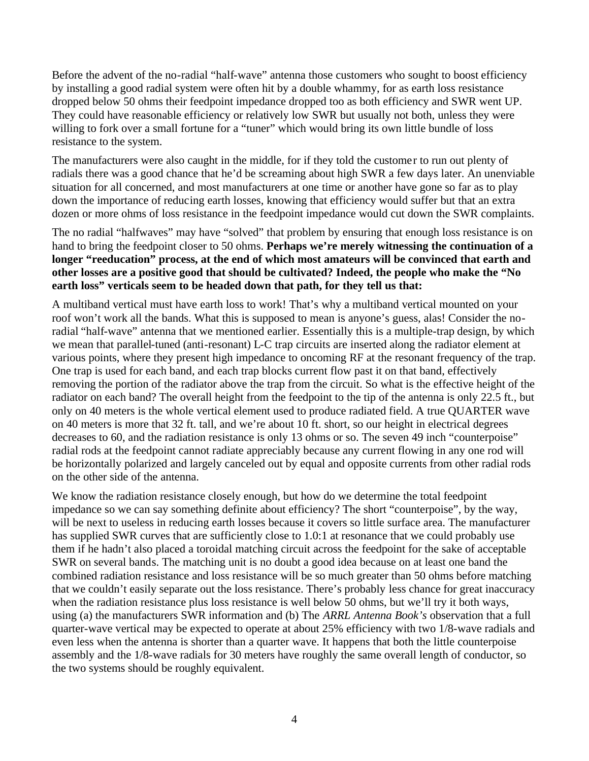Before the advent of the no-radial "half-wave" antenna those customers who sought to boost efficiency by installing a good radial system were often hit by a double whammy, for as earth loss resistance dropped below 50 ohms their feedpoint impedance dropped too as both efficiency and SWR went UP. They could have reasonable efficiency or relatively low SWR but usually not both, unless they were willing to fork over a small fortune for a "tuner" which would bring its own little bundle of loss resistance to the system.

The manufacturers were also caught in the middle, for if they told the customer to run out plenty of radials there was a good chance that he'd be screaming about high SWR a few days later. An unenviable situation for all concerned, and most manufacturers at one time or another have gone so far as to play down the importance of reducing earth losses, knowing that efficiency would suffer but that an extra dozen or more ohms of loss resistance in the feedpoint impedance would cut down the SWR complaints.

The no radial "halfwaves" may have "solved" that problem by ensuring that enough loss resistance is on hand to bring the feedpoint closer to 50 ohms. **Perhaps we're merely witnessing the continuation of a longer "reeducation" process, at the end of which most amateurs will be convinced that earth and other losses are a positive good that should be cultivated? Indeed, the people who make the "No earth loss" verticals seem to be headed down that path, for they tell us that:**

A multiband vertical must have earth loss to work! That's why a multiband vertical mounted on your roof won't work all the bands. What this is supposed to mean is anyone's guess, alas! Consider the noradial "half-wave" antenna that we mentioned earlier. Essentially this is a multiple-trap design, by which we mean that parallel-tuned (anti-resonant) L-C trap circuits are inserted along the radiator element at various points, where they present high impedance to oncoming RF at the resonant frequency of the trap. One trap is used for each band, and each trap blocks current flow past it on that band, effectively removing the portion of the radiator above the trap from the circuit. So what is the effective height of the radiator on each band? The overall height from the feedpoint to the tip of the antenna is only 22.5 ft., but only on 40 meters is the whole vertical element used to produce radiated field. A true QUARTER wave on 40 meters is more that 32 ft. tall, and we're about 10 ft. short, so our height in electrical degrees decreases to 60, and the radiation resistance is only 13 ohms or so. The seven 49 inch "counterpoise" radial rods at the feedpoint cannot radiate appreciably because any current flowing in any one rod will be horizontally polarized and largely canceled out by equal and opposite currents from other radial rods on the other side of the antenna.

We know the radiation resistance closely enough, but how do we determine the total feedpoint impedance so we can say something definite about efficiency? The short "counterpoise", by the way, will be next to useless in reducing earth losses because it covers so little surface area. The manufacturer has supplied SWR curves that are sufficiently close to 1.0:1 at resonance that we could probably use them if he hadn't also placed a toroidal matching circuit across the feedpoint for the sake of acceptable SWR on several bands. The matching unit is no doubt a good idea because on at least one band the combined radiation resistance and loss resistance will be so much greater than 50 ohms before matching that we couldn't easily separate out the loss resistance. There's probably less chance for great inaccuracy when the radiation resistance plus loss resistance is well below 50 ohms, but we'll try it both ways, using (a) the manufacturers SWR information and (b) The *ARRL Antenna Book's* observation that a full quarter-wave vertical may be expected to operate at about 25% efficiency with two 1/8-wave radials and even less when the antenna is shorter than a quarter wave. It happens that both the little counterpoise assembly and the 1/8-wave radials for 30 meters have roughly the same overall length of conductor, so the two systems should be roughly equivalent.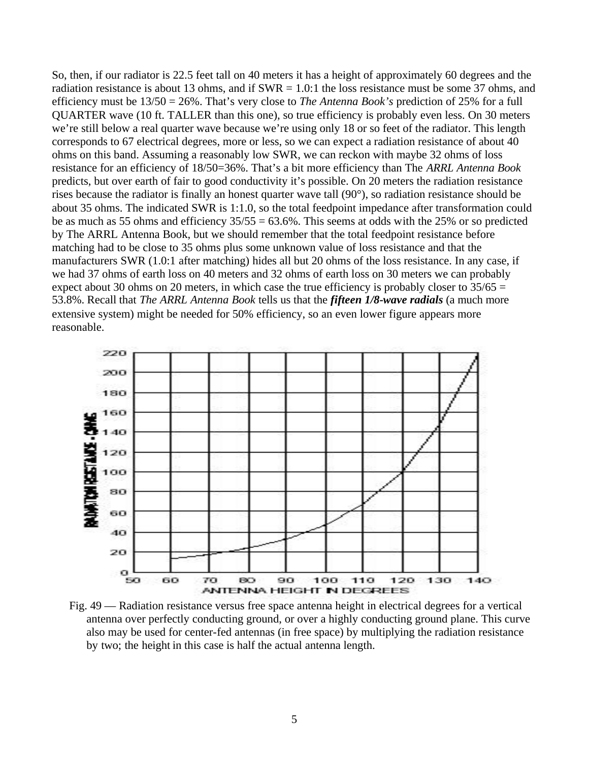So, then, if our radiator is 22.5 feet tall on 40 meters it has a height of approximately 60 degrees and the radiation resistance is about 13 ohms, and if  $SWR = 1.0:1$  the loss resistance must be some 37 ohms, and efficiency must be 13/50 = 26%. That's very close to *The Antenna Book's* prediction of 25% for a full QUARTER wave (10 ft. TALLER than this one), so true efficiency is probably even less. On 30 meters we're still below a real quarter wave because we're using only 18 or so feet of the radiator. This length corresponds to 67 electrical degrees, more or less, so we can expect a radiation resistance of about 40 ohms on this band. Assuming a reasonably low SWR, we can reckon with maybe 32 ohms of loss resistance for an efficiency of 18/50=36%. That's a bit more efficiency than The *ARRL Antenna Book*  predicts, but over earth of fair to good conductivity it's possible. On 20 meters the radiation resistance rises because the radiator is finally an honest quarter wave tall (90°), so radiation resistance should be about 35 ohms. The indicated SWR is 1:1.0, so the total feedpoint impedance after transformation could be as much as 55 ohms and efficiency  $35/55 = 63.6\%$ . This seems at odds with the 25% or so predicted by The ARRL Antenna Book, but we should remember that the total feedpoint resistance before matching had to be close to 35 ohms plus some unknown value of loss resistance and that the manufacturers SWR (1.0:1 after matching) hides all but 20 ohms of the loss resistance. In any case, if we had 37 ohms of earth loss on 40 meters and 32 ohms of earth loss on 30 meters we can probably expect about 30 ohms on 20 meters, in which case the true efficiency is probably closer to  $35/65 =$ 53.8%. Recall that *The ARRL Antenna Book* tells us that the *fifteen 1/8-wave radials* (a much more extensive system) might be needed for 50% efficiency, so an even lower figure appears more reasonable.



Fig. 49 — Radiation resistance versus free space antenna height in electrical degrees for a vertical antenna over perfectly conducting ground, or over a highly conducting ground plane. This curve also may be used for center-fed antennas (in free space) by multiplying the radiation resistance by two; the height in this case is half the actual antenna length.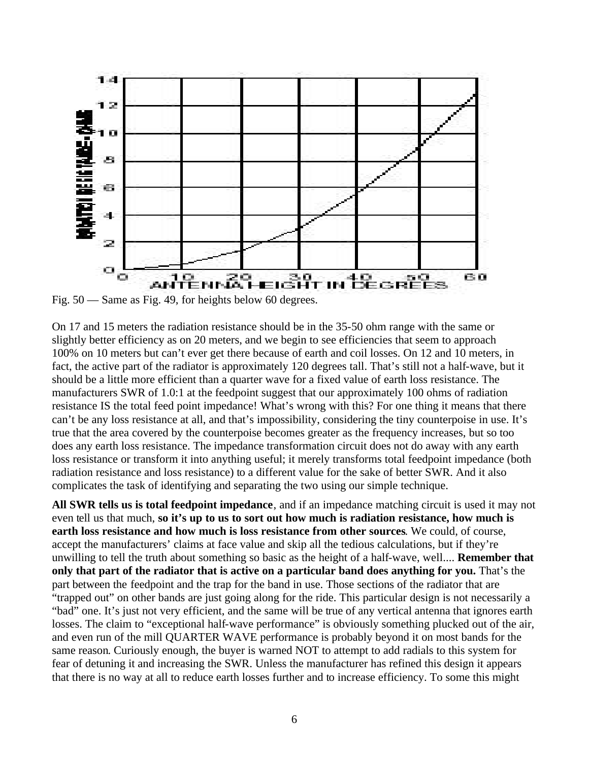

Fig. 50 — Same as Fig. 49, for heights below 60 degrees.

On 17 and 15 meters the radiation resistance should be in the 35-50 ohm range with the same or slightly better efficiency as on 20 meters, and we begin to see efficiencies that seem to approach 100% on 10 meters but can't ever get there because of earth and coil losses. On 12 and 10 meters, in fact, the active part of the radiator is approximately 120 degrees tall. That's still not a half-wave, but it should be a little more efficient than a quarter wave for a fixed value of earth loss resistance. The manufacturers SWR of 1.0:1 at the feedpoint suggest that our approximately 100 ohms of radiation resistance IS the total feed point impedance! What's wrong with this? For one thing it means that there can't be any loss resistance at all, and that's impossibility, considering the tiny counterpoise in use. It's true that the area covered by the counterpoise becomes greater as the frequency increases, but so too does any earth loss resistance. The impedance transformation circuit does not do away with any earth loss resistance or transform it into anything useful; it merely transforms total feedpoint impedance (both radiation resistance and loss resistance) to a different value for the sake of better SWR. And it also complicates the task of identifying and separating the two using our simple technique.

**All SWR tells us is total feedpoint impedance**, and if an impedance matching circuit is used it may not even tell us that much, **so it's up to us to sort out how much is radiation resistance, how much is earth loss resistance and how much is loss resistance from other sources**. We could, of course, accept the manufacturers' claims at face value and skip all the tedious calculations, but if they're unwilling to tell the truth about something so basic as the height of a half-wave, well.... **Remember that only that part of the radiator that is active on a particular band does anything for you.** That's the part between the feedpoint and the trap for the band in use. Those sections of the radiator that are "trapped out" on other bands are just going along for the ride. This particular design is not necessarily a "bad" one. It's just not very efficient, and the same will be true of any vertical antenna that ignores earth losses. The claim to "exceptional half-wave performance" is obviously something plucked out of the air, and even run of the mill QUARTER WAVE performance is probably beyond it on most bands for the same reason. Curiously enough, the buyer is warned NOT to attempt to add radials to this system for fear of detuning it and increasing the SWR. Unless the manufacturer has refined this design it appears that there is no way at all to reduce earth losses further and to increase efficiency. To some this might